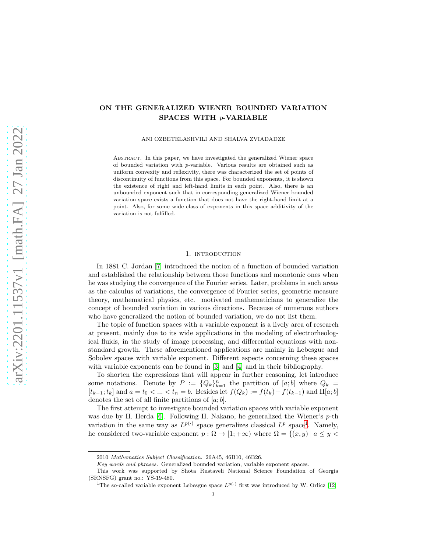## ON THE GENERALIZED WIENER BOUNDED VARIATION SPACES WITH p-VARIABLE

ANI OZBETELASHVILI AND SHALVA ZVIADADZE

Abstract. In this paper, we have investigated the generalized Wiener space of bounded variation with p-variable. Various results are obtained such as uniform convexity and reflexivity, there was characterized the set of points of discontinuity of functions from this space. For bounded exponents, it is shown the existence of right and left-hand limits in each point. Also, there is an unbounded exponent such that in corresponding generalized Wiener bounded variation space exists a function that does not have the right-hand limit at a point. Also, for some wide class of exponents in this space additivity of the variation is not fulfilled.

## 1. introduction

In 1881 C. Jordan [\[7\]](#page-11-0) introduced the notion of a function of bounded variation and established the relationship between those functions and monotonic ones when he was studying the convergence of the Fourier series. Later, problems in such areas as the calculus of variations, the convergence of Fourier series, geometric measure theory, mathematical physics, etc. motivated mathematicians to generalize the concept of bounded variation in various directions. Because of numerous authors who have generalized the notion of bounded variation, we do not list them.

The topic of function spaces with a variable exponent is a lively area of research at present, mainly due to its wide applications in the modeling of electrorheological fluids, in the study of image processing, and differential equations with nonstandard growth. These aforementioned applications are mainly in Lebesgue and Sobolev spaces with variable exponent. Different aspects concerning these spaces with variable exponents can be found in [\[3\]](#page-11-1) and [\[4\]](#page-11-2) and in their bibliography.

To shorten the expressions that will appear in further reasoning, let introduce some notations. Denote by  $P := \{Q_k\}_{k=1}^n$  the partition of  $[a, b]$  where  $Q_k =$  $[t_{k-1};t_k]$  and  $a = t_0 < \ldots < t_n = b$ . Besides let  $f(Q_k) := f(t_k) - f(t_{k-1})$  and  $\Pi[a;b]$ denotes the set of all finite partitions of  $[a; b]$ .

The first attempt to investigate bounded variation spaces with variable exponent was due by H. Herda  $[6]$ . Following H. Nakano, he generalized the Wiener's p-th variation in the same way as  $L^{p(\cdot)}$  space generalizes classical  $L^p$  space<sup>[1](#page-0-0)</sup>. Namely, he considered two-variable exponent  $p : \Omega \to [1; +\infty)$  where  $\Omega = \{(x, y) | a \leq y < \Omega\}$ 

<sup>2010</sup> Mathematics Subject Classification. 26A45, 46B10, 46B26.

Key words and phrases. Generalized bounded variation, variable exponent spaces.

This work was supported by Shota Rustaveli National Science Foundation of Georgia (SRNSFG) grant no.: YS-19-480.

<span id="page-0-0"></span><sup>&</sup>lt;sup>1</sup>The so-called variable exponent Lebesgue space  $L^{p(\cdot)}$  first was introduced by W. Orlicz [\[12\]](#page-12-0)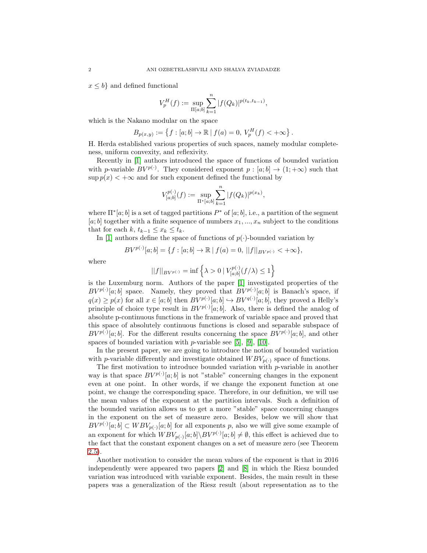$x \leq b$  and defined functional

$$
V_p^H(f) := \sup_{\Pi[a;b]} \sum_{k=1}^n |f(Q_k)|^{p(t_k,t_{k-1})},
$$

which is the Nakano modular on the space

$$
B_{p(x,y)} := \left\{ f : [a; b] \to \mathbb{R} \mid f(a) = 0, V_p^H(f) < +\infty \right\}.
$$

H. Herda established various properties of such spaces, namely modular completeness, uniform convexity, and reflexivity.

Recently in [\[1\]](#page-11-4) authors introduced the space of functions of bounded variation with p-variable  $BV^{p(\cdot)}$ . They considered exponent  $p : [a; b] \to (1; +\infty)$  such that  $\sup p(x) < +\infty$  and for such exponent defined the functional by

$$
V_{[a;b]}^{p(\cdot)}(f) := \sup_{\Pi^*[a;b]} \sum_{k=1}^n |f(Q_k)|^{p(x_k)},
$$

where  $\Pi^*[a; b]$  is a set of tagged partitions  $P^*$  of  $[a; b]$ , i.e., a partition of the segment  $[a; b]$  together with a finite sequence of numbers  $x_1, ..., x_n$  subject to the conditions that for each k,  $t_{k-1} \leq x_k \leq t_k$ .

In [\[1\]](#page-11-4) authors define the space of functions of  $p(\cdot)$ -bounded variation by

$$
BV^{p(\cdot)}[a;b] = \{f : [a;b] \to \mathbb{R} \mid f(a) = 0, \ ||f||_{BV^{p(\cdot)}} < +\infty \},
$$

where

$$
||f||_{BV^{p(\cdot)}}=\inf\left\{\lambda>0\ |\ V^{p(\cdot)}_{[a;b]}(f/\lambda)\leq 1\right\}
$$

is the Luxemburg norm. Authors of the paper [\[1\]](#page-11-4) investigated properties of the  $BV^{p(\cdot)}[a;b]$  space. Namely, they proved that  $BV^{p(\cdot)}[a;b]$  is Banach's space, if  $q(x) \geq p(x)$  for all  $x \in [a, b]$  then  $BV^{p(\cdot)}[a, b] \hookrightarrow BV^{q(\cdot)}[a, b]$ , they proved a Helly's principle of choice type result in  $BV^{p(\cdot)}[a;b]$ . Also, there is defined the analog of absolute p-continuous functions in the framework of variable space and proved that this space of absolutely continuous functions is closed and separable subspace of  $BV^{p(\cdot)}[a;b]$ . For the different results concerning the space  $BV^{p(\cdot)}[a;b]$ , and other spaces of bounded variation with  $p$ -variable see [\[5\]](#page-11-5), [\[9\]](#page-12-1), [\[10\]](#page-12-2).

In the present paper, we are going to introduce the notion of bounded variation with p-variable differently and investigate obtained  $WBV_{p(\cdot)}$  space of functions.

The first motivation to introduce bounded variation with  $p$ -variable in another way is that space  $BV^{p(\cdot)}[a;b]$  is not "stable" concerning changes in the exponent even at one point. In other words, if we change the exponent function at one point, we change the corresponding space. Therefore, in our definition, we will use the mean values of the exponent at the partition intervals. Such a definition of the bounded variation allows us to get a more "stable" space concerning changes in the exponent on the set of measure zero. Besides, below we will show that  $BV^{p(\cdot)}[a;b] \subset WBV_{p(\cdot)}[a;b]$  for all exponents p, also we will give some example of an exponent for which  $WBV_{p(·)}[a;b] \ BV^{p(·)}[a;b] \neq \emptyset$ , this effect is achieved due to the fact that the constant exponent changes on a set of measure zero (see Theorem [2.5\)](#page-4-0).

Another motivation to consider the mean values of the exponent is that in 2016 independently were appeared two papers [\[2\]](#page-11-6) and [\[8\]](#page-12-3) in which the Riesz bounded variation was introduced with variable exponent. Besides, the main result in these papers was a generalization of the Riesz result (about representation as to the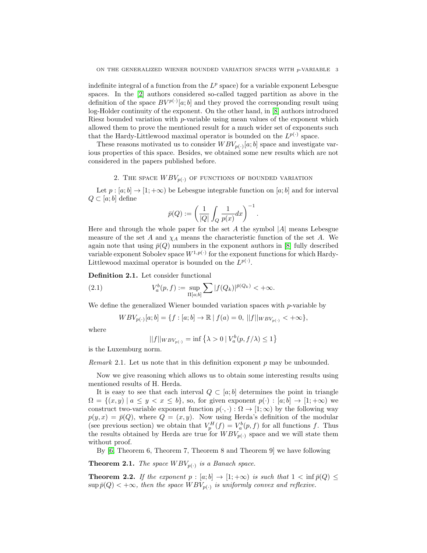indefinite integral of a function from the  $L^p$  space) for a variable exponent Lebesgue spaces. In the [\[2\]](#page-11-6) authors considered so-called tagged partition as above in the definition of the space  $BV^{p(\cdot)}[a;b]$  and they proved the corresponding result using log-Holder continuity of the exponent. On the other hand, in [\[8\]](#page-12-3) authors introduced Riesz bounded variation with  $p$ -variable using mean values of the exponent which allowed them to prove the mentioned result for a much wider set of exponents such that the Hardy-Littlewood maximal operator is bounded on the  $L^{p(\cdot)}$  space.

These reasons motivated us to consider  $WBV_{p(\cdot)}[a;b]$  space and investigate various properties of this space. Besides, we obtained some new results which are not considered in the papers published before.

## 2. THE SPACE  $WBV_{p(.)}$  of functions of bounded variation

Let  $p : [a; b] \to [1; +\infty)$  be Lebesgue integrable function on  $[a; b]$  and for interval  $Q \subset [a; b]$  define

$$
\bar{p}(Q):=\left(\frac{1}{|Q|}\int_Q\frac{1}{p(x)}dx\right)^{-1}.
$$

Here and through the whole paper for the set A the symbol  $|A|$  means Lebesgue measure of the set A and  $\chi_A$  means the characteristic function of the set A. We again note that using  $\bar{p}(Q)$  numbers in the exponent authors in [\[8\]](#page-12-3) fully described variable exponent Sobolev space  $W^{1,p(\cdot)}$  for the exponent functions for which Hardy-Littlewood maximal operator is bounded on the  $L^{p(\cdot)}$ .

Definition 2.1. Let consider functional

(2.1) 
$$
V_a^b(p, f) := \sup_{\Pi[a, b]} \sum |f(Q_k)|^{\bar{p}(Q_k)} < +\infty.
$$

We define the generalized Wiener bounded variation spaces with p-variable by

$$
WBV_{p(\cdot)}[a;b] = \{f : [a;b] \to \mathbb{R} \mid f(a) = 0, \ ||f||_{WBV_{p(\cdot)}} < +\infty \},\
$$

where

$$
||f||_{WBV_{p(\cdot)}} = \inf \{ \lambda > 0 \mid V_a^b(p, f/\lambda) \le 1 \}
$$

is the Luxemburg norm.

*Remark* 2.1. Let us note that in this definition exponent  $p$  may be unbounded.

Now we give reasoning which allows us to obtain some interesting results using mentioned results of H. Herda.

It is easy to see that each interval  $Q \subset [a, b]$  determines the point in triangle  $\Omega = \{(x, y) \mid a \leq y < x \leq b\}$ , so, for given exponent  $p(\cdot) : [a, b] \to [1, +\infty)$  we construct two-variable exponent function  $p(\cdot, \cdot) : \Omega \to [1; \infty)$  by the following way  $p(y, x) = \bar{p}(Q)$ , where  $Q = (x, y)$ . Now using Herda's definition of the modular (see previous section) we obtain that  $V_p^H(f) = V_a^b(p, f)$  for all functions f. Thus the results obtained by Herda are true for  $WBV_{p(.)}$  space and we will state them without proof.

By [\[6,](#page-11-3) Theorem 6, Theorem 7, Theorem 8 and Theorem 9] we have following

**Theorem 2.1.** The space  $WBV_{p(.)}$  is a Banach space.

**Theorem 2.2.** If the exponent  $p : [a; b] \to [1; +\infty)$  is such that  $1 < \inf \bar{p}(Q) \le$  $\sup \bar{p}(Q) < +\infty$ , then the space  $WBV_{p(\cdot)}$  is uniformly convex and reflexive.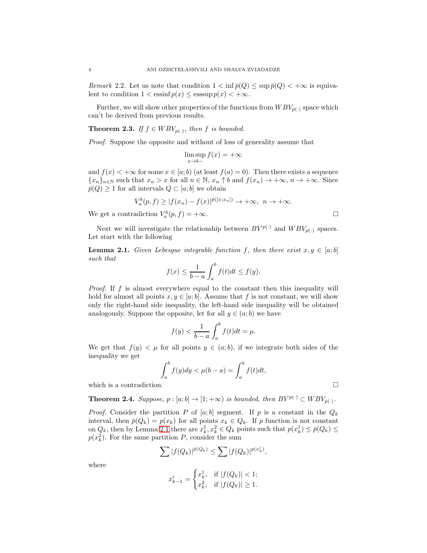Remark 2.2. Let us note that condition  $1 < \inf \bar{p}(Q) \le \sup \bar{p}(Q) < +\infty$  is equivalent to condition  $1 < \operatorname{essinf} p(x) \leq \operatorname{esssup} p(x) < +\infty$ .

Further, we will show other properties of the functions from  $WBV_{p(.)}$  space which can't be derived from previous results.

<span id="page-3-1"></span>**Theorem 2.3.** If  $f \in WBV_{p(\cdot)}$ , then f is bounded.

Proof. Suppose the opposite and without of loss of generality assume that

$$
\limsup_{x \to b-} f(x) = +\infty
$$

and  $f(x) < +\infty$  for some  $x \in [a, b)$  (at least  $f(a) = 0$ ). Then there exists a sequence  ${x_n}_{n\in\mathbb{N}}$  such that  $x_n > x$  for all  $n \in \mathbb{N}$ ,  $x_n \uparrow b$  and  $f(x_n) \rightarrow +\infty$ ,  $n \rightarrow +\infty$ . Since  $\bar{p}(Q) \geq 1$  for all intervals  $Q \subset [a, b]$  we obtain

$$
V_a^b(p, f) \ge |f(x_n) - f(x)|^{\bar{p}([x; x_n])} \to +\infty, \ \ n \to +\infty.
$$

We get a contradiction  $V_a^b(p, f) = +\infty$ .

Next we will investigate the relationship between  $BV^{p(\cdot)}$  and  $WBV_{p(\cdot)}$  spaces. Let start with the following

<span id="page-3-0"></span>**Lemma 2.1.** Given Lebesgue integrable function f, then there exist  $x, y \in [a, b]$ such that

$$
f(x) \le \frac{1}{b-a} \int_a^b f(t)dt \le f(y).
$$

Proof. If f is almost everywhere equal to the constant then this inequality will hold for almost all points  $x, y \in [a, b]$ . Assume that f is not constant, we will show only the right-hand side inequality, the left-hand side inequality will be obtained analogously. Suppose the opposite, let for all  $y \in (a, b)$  we have

$$
f(y) < \frac{1}{b-a} \int_a^b f(t)dt = \mu.
$$

We get that  $f(y) < \mu$  for all points  $y \in (a, b)$ , if we integrate both sides of the inequality we get

$$
\int_a^b f(y)dy < \mu(b-a) = \int_a^b f(t)dt,
$$

which is a contradiction.  $\Box$ 

<span id="page-3-2"></span>**Theorem 2.4.** Suppose,  $p : [a; b] \rightarrow [1; +\infty)$  is bounded, then  $BV^{p(\cdot)} \subset WBV_{p(\cdot)}$ .

*Proof.* Consider the partition P of [a; b] segment. If p is a constant in the  $Q_k$ interval, then  $\bar{p}(Q_k) = p(x_k)$  for all points  $x_k \in Q_k$ . If p function is not constant on  $Q_k$ , then by Lemma [2.1](#page-3-0) there are  $x_k^1, x_k^2 \in Q_k$  points such that  $p(x_k^1) \leq \bar{p}(Q_k) \leq$  $p(x_k^2)$ . For the same partition P, consider the sum

$$
\sum |f(Q_k)|^{\bar{p}(Q_k)} \le \sum |f(Q_k)|^{p(x_k^i)},
$$

where

$$
x_{k-1}^i = \begin{cases} x_k^1, & \text{if } |f(Q_k)| < 1; \\ x_k^2, & \text{if } |f(Q_k)| \ge 1. \end{cases}
$$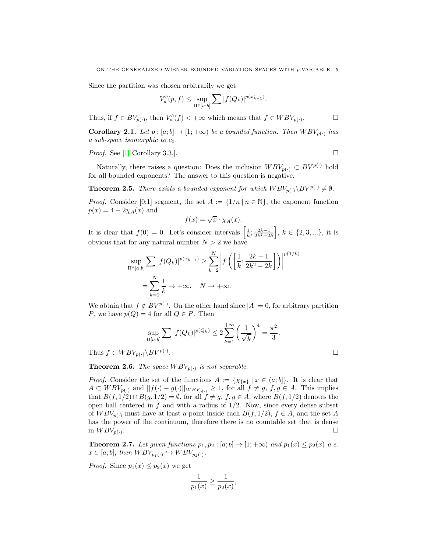Since the partition was chosen arbitrarily we get

$$
V_a^b(p,f) \le \sup_{\Pi^*\left[a;b\right]}\sum |f(Q_k)|^{p(x_{k-1}^i)}.
$$

Thus, if  $f \in BV_{p(\cdot)}$ , then  $V_a^b(f) < +\infty$  which means that  $f \in WBV_{p(\cdot)}$  $\Box$ 

**Corollary 2.1.** Let  $p : [a; b] \to [1; +\infty)$  be a bounded function. Then  $WBV_{p(\cdot)}$  has a sub-space isomorphic to  $c_0$ .

*Proof.* See [\[1,](#page-11-4) Corollary 3.3.].

Naturally, there raises a question: Does the inclusion  $WBV_{p(\cdot)} \subset BV^{p(\cdot)}$  hold for all bounded exponents? The answer to this question is negative.

<span id="page-4-0"></span>**Theorem 2.5.** There exists a bounded exponent for which  $WBV_{p(\cdot)}\backslash BV^{p(\cdot)} \neq \emptyset$ .

*Proof.* Consider [0;1] segment, the set  $A := \{1/n | n \in \mathbb{N}\}\$ , the exponent function  $p(x) = 4 - 2\chi_A(x)$  and

$$
f(x) = \sqrt{x} \cdot \chi_A(x).
$$

It is clear that  $f(0) = 0$ . Let's consider intervals  $\left[\frac{1}{k}; \frac{2k-1}{2k^2-2k}\right], k \in \{2,3,...\},\$ it is obvious that for any natural number  $N > 2$  we have

$$
\sup_{\Pi^*[a;b]} \sum |f(Q_k)|^{p(x_{k-1})} \ge \sum_{k=2}^N \left| f\left(\left[\frac{1}{k}; \frac{2k-1}{2k^2-2k}\right]\right) \right|^{p(1/k)}
$$

$$
= \sum_{k=2}^N \frac{1}{k} \to +\infty, \quad N \to +\infty.
$$

We obtain that  $f \notin BV^{p(\cdot)}$ . On the other hand since  $|A| = 0$ , for arbitrary partition P, we have  $\bar{p}(Q) = 4$  for all  $Q \in P$ . Then

$$
\sup_{\Pi[a;b]}\sum |f(Q_k)|^{\bar{p}(Q_k)} \leq 2\sum_{k=1}^{+\infty} \left(\frac{1}{\sqrt{k}}\right)^4 = \frac{\pi^2}{3}.
$$

Thus  $f \in WBV_{p(.)} \backslash BV^{p(.)}$ .

**Theorem 2.6.** The space  $WBV_{p(.)}$  is not separable.

*Proof.* Consider the set of the functions  $A := {\chi_{\{x\}} \mid x \in (a, b]}$ . It is clear that  $A \subset WBV_{p(\cdot)}$  and  $||f(\cdot) - g(\cdot)||_{WBV_{p(\cdot)}} \geq 1$ , for all  $f \neq g$ ,  $f, g \in A$ . This implies that  $B(f, 1/2) \cap B(g, 1/2) = \emptyset$ , for all  $f \neq g, f, g \in A$ , where  $B(f, 1/2)$  denotes the open ball centered in  $f$  and with a radius of  $1/2$ . Now, since every dense subset of  $WBV_{p(\cdot)}$  must have at least a point inside each  $B(f, 1/2), f \in A$ , and the set A has the power of the continuum, therefore there is no countable set that is dense in  $WBV_{p(.)}$ . .

**Theorem 2.7.** Let given functions  $p_1, p_2 : [a; b] \rightarrow [1; +\infty)$  and  $p_1(x) \leq p_2(x)$  a.e.  $x \in [a;b]$ , then  $WBV_{p_1(\cdot)} \hookrightarrow WBV_{p_2(\cdot)}$ .

*Proof.* Since  $p_1(x) \leq p_2(x)$  we get

$$
\frac{1}{p_1(x)} \ge \frac{1}{p_2(x)},
$$

.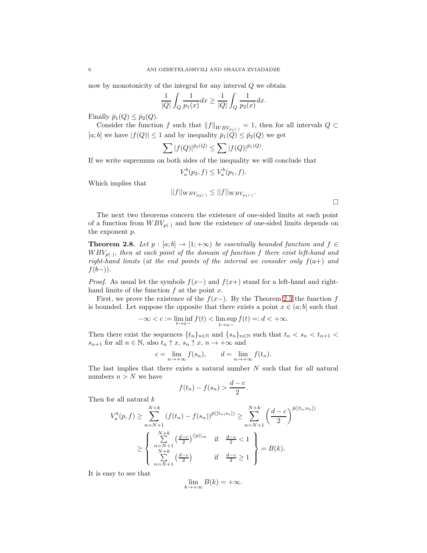now by monotonicity of the integral for any interval Q we obtain

$$
\frac{1}{|Q|} \int_Q \frac{1}{p_1(x)} dx \ge \frac{1}{|Q|} \int_Q \frac{1}{p_2(x)} dx.
$$

Finally  $\bar{p}_1(Q) \leq \bar{p}_2(Q)$ .

Consider the function f such that  $||f||_{WBV_{p_1(\cdot)}} = 1$ , then for all intervals  $Q \subset$ [a; b] we have  $|f(Q)| \leq 1$  and by inequality  $\bar{p}_1(\tilde{Q}) \leq \bar{p}_2(Q)$  we get

$$
\sum |f(Q)|^{\bar{p}_2(Q)} \leq \sum |f(Q)|^{\bar{p}_1(Q)}.
$$

If we write supremum on both sides of the inequality we will conclude that

$$
V_a^b(p_2, f) \le V_a^b(p_1, f).
$$

Which implies that

$$
||f||_{WBV_{p_2(\cdot)}} \leq ||f||_{WBV_{p_1(\cdot)}}.
$$

 $\Box$ 

The next two theorems concern the existence of one-sided limits at each point of a function from  $WBV_{p(\cdot)}$  and how the existence of one-sided limits depends on the exponent p.

<span id="page-5-0"></span>**Theorem 2.8.** Let  $p : [a; b] \to [1; +\infty)$  be essentially bounded function and  $f \in$  $WBV_{p(\cdot)}$ , then at each point of the domain of function f there exist left-hand and right-hand limits (at the end points of the interval we consider only  $f(a+)$  and  $f(b-))$ .

*Proof.* As usual let the symbols  $f(x-)$  and  $f(x+)$  stand for a left-hand and righthand limits of the function  $f$  at the point  $x$ .

First, we prove the existence of the  $f(x-)$ . By the Theorem [2.3](#page-3-1) the function f is bounded. Let suppose the opposite that there exists a point  $x \in (a, b]$  such that

$$
-\infty < c := \liminf_{t \to x-} f(t) < \limsup_{t \to x-} f(t) =: d < +\infty.
$$

Then there exist the sequences  $\{t_n\}_{n\in\mathbb{N}}$  and  $\{s_n\}_{n\in\mathbb{N}}$  such that  $t_n < s_n < t_{n+1}$  $s_{n+1}$  for all  $n \in \mathbb{N}$ , also  $t_n \uparrow x$ ,  $s_n \uparrow x$ ,  $n \to +\infty$  and

$$
c = \lim_{n \to +\infty} f(s_n), \qquad d = \lim_{n \to +\infty} f(t_n).
$$

The last implies that there exists a natural number  $N$  such that for all natural numbers  $n > N$  we have

$$
f(t_n) - f(s_n) > \frac{d-c}{2}.
$$

Then for all natural  $k$ 

$$
V_a^b(p, f) \ge \sum_{n=N+1}^{N+k} (f(t_n) - f(s_n))^{p([t_n; s_n])} \ge \sum_{n=N+1}^{N+k} \left(\frac{d-c}{2}\right)^{p([t_n; s_n])}
$$
  

$$
\ge \begin{cases} \sum_{n=N+1}^{N+k} \left(\frac{d-c}{2}\right)^{||p||_{\infty}} & \text{if } \frac{d-c}{2} < 1 \\ \sum_{n=N+1}^{N+k} \left(\frac{d-c}{2}\right) & \text{if } \frac{d-c}{2} \ge 1 \end{cases} = B(k).
$$

It is easy to see that

$$
\lim_{k \to +\infty} B(k) = +\infty.
$$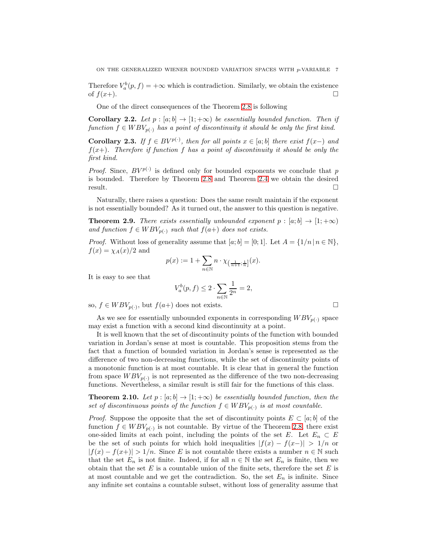Therefore  $V_a^b(p, f) = +\infty$  which is contradiction. Similarly, we obtain the existence of  $f(x+)$ .

One of the direct consequences of the Theorem [2.8](#page-5-0) is following

Corollary 2.2. Let  $p : [a; b] \rightarrow [1; +\infty)$  be essentially bounded function. Then if function  $f \in WBV_{p(.)}$  has a point of discontinuity it should be only the first kind.

**Corollary 2.3.** If  $f \in BV^{p(\cdot)}$ , then for all points  $x \in [a, b]$  there exist  $f(x-)$  and  $f(x+)$ . Therefore if function f has a point of discontinuity it should be only the first kind.

*Proof.* Since,  $BV^{p(\cdot)}$  is defined only for bounded exponents we conclude that p is bounded. Therefore by Theorem [2.8](#page-5-0) and Theorem [2.4](#page-3-2) we obtain the desired  $r$ esult.

Naturally, there raises a question: Does the same result maintain if the exponent is not essentially bounded? As it turned out, the answer to this question is negative.

**Theorem 2.9.** There exists essentially unbounded exponent  $p : [a; b] \rightarrow [1; +\infty)$ and function  $f \in WBV_{p(.)}$  such that  $f(a+)$  does not exists.

*Proof.* Without loss of generality assume that  $[a; b] = [0; 1]$ . Let  $A = \{1/n | n \in \mathbb{N}\},$  $f(x) = \chi_A(x)/2$  and

$$
p(x):=1+\sum_{n\in\mathbb{N}}n\cdot\chi_{\left(\frac{1}{n+1};\frac{1}{n}\right]}(x).
$$

It is easy to see that

$$
V_a^b(p,f) \le 2 \cdot \sum_{n \in \mathbb{N}} \frac{1}{2^n} = 2,
$$

so,  $f \in WBV_{p(\cdot)}$ , but  $f(a+)$  does not exists.

As we see for essentially unbounded exponents in corresponding  $WBV_{p(\cdot)}$  space may exist a function with a second kind discontinuity at a point.

It is well known that the set of discontinuity points of the function with bounded variation in Jordan's sense at most is countable. This proposition stems from the fact that a function of bounded variation in Jordan's sense is represented as the difference of two non-decreasing functions, while the set of discontinuity points of a monotonic function is at most countable. It is clear that in general the function from space  $WBV_{p(\cdot)}$  is not represented as the difference of the two non-decreasing functions. Nevertheless, a similar result is still fair for the functions of this class.

<span id="page-6-0"></span>**Theorem 2.10.** Let  $p : [a, b] \to [1, +\infty)$  be essentially bounded function, then the set of discontinuous points of the function  $f \in WBV_{p(.)}$  is at most countable.

*Proof.* Suppose the opposite that the set of discontinuity points  $E \subset [a, b]$  of the function  $f \in WBV_{p(.)}$  is not countable. By virtue of the Theorem [2.8,](#page-5-0) there exist one-sided limits at each point, including the points of the set E. Let  $E_n \subset E$ be the set of such points for which hold inequalities  $|f(x) - f(x-)| > 1/n$  or  $|f(x) - f(x+)| > 1/n$ . Since E is not countable there exists a number  $n \in \mathbb{N}$  such that the set  $E_n$  is not finite. Indeed, if for all  $n \in \mathbb{N}$  the set  $E_n$  is finite, then we obtain that the set  $E$  is a countable union of the finite sets, therefore the set  $E$  is at most countable and we get the contradiction. So, the set  $E_n$  is infinite. Since any infinite set contains a countable subset, without loss of generality assume that

$$
\Box
$$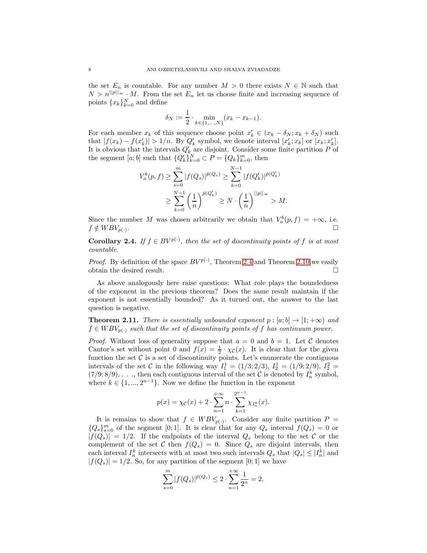the set  $E_n$  is countable. For any number  $M > 0$  there exists  $N \in \mathbb{N}$  such that  $N > n^{|p||_{\infty}} \cdot M$ . From the set  $E_n$  let us choose finite and increasing sequence of points  ${x_k}_{k=0}^N$  and define

$$
\delta_N := \frac{1}{2} \cdot \min_{k \in \{1, ..., N\}} (x_k - x_{k-1}).
$$

For each member  $x_k$  of this sequence choose point  $x'_k \in (x_k - \delta_N; x_k + \delta_N)$  such that  $|f(x_k) - f(x'_k)| > 1/n$ . By  $Q'_k$  symbol, we denote interval  $[x'_k; x_k]$  or  $[x_k; x'_k]$ . It is obvious that the intervals  $Q'_{k}$  are disjoint. Consider some finite partition P of the segment  $[a; b]$  such that  ${Q'_k}_{k=0}^N \subset P = {Q_k}_{k=0}^m$ , then

$$
V_a^b(p, f) \ge \sum_{s=0}^m |f(Q_s)|^{\bar{p}(Q_s)} \ge \sum_{k=0}^{N-1} |f(Q'_k)|^{\bar{p}(Q'_k)}
$$
  

$$
\ge \sum_{k=0}^{N-1} \left(\frac{1}{n}\right)^{\bar{p}(Q'_k)} \ge N \cdot \left(\frac{1}{n}\right)^{||p||_{\infty}} > M.
$$

Since the number M was chosen arbitrarily we obtain that  $V_a^b(p, f) = +\infty$ , i.e.  $f \notin WBV_{p(\cdot)}$ . .

**Corollary 2.4.** If  $f \in BV^{p(\cdot)}$ , then the set of discontinuity points of f is at most countable.

*Proof.* By definition of the space  $BV^{p(\cdot)}$ , Theorem [2.4](#page-3-2) and Theorem [2.10](#page-6-0) we easily obtain the desired result.

As above analogously here raise questions: What role plays the boundedness of the exponent in the previous theorem? Does the same result maintain if the exponent is not essentially bounded? As it turned out, the answer to the last question is negative.

**Theorem 2.11.** There is essentially unbounded exponent  $p : [a; b] \rightarrow [1; +\infty)$  and  $f \in WBV_{p(\cdot)}$  such that the set of discontinuity points of f has continuum power.

*Proof.* Without loss of generality suppose that  $a = 0$  and  $b = 1$ . Let C denotes Cantor's set without point 0 and  $f(x) = \frac{1}{2} \cdot \chi_{\mathcal{C}}(x)$ . It is clear that for the given function the set  $C$  is a set of discontinuity points. Let's enumerate the contiguous intervals of the set C in the following way  $I_1^1 = (1/3; 2/3), I_2^1 = (1/9; 2/9), I_2^2 =$  $(7/9, 8/9), \ldots$ , then each contiguous interval of the set C is denoted by  $I_n^k$  symbol, where  $k \in \{1, ..., 2^{n-1}\}$ . Now we define the function in the exponent

$$
p(x) = \chi_{\mathcal{C}}(x) + 2 \cdot \sum_{n=1}^{+\infty} n \cdot \sum_{k=1}^{2^{n-1}} \chi_{I_n^k}(x).
$$

It is remains to show that  $f \in WBV_{p(\cdot)}$ . Consider any finite partition  $P =$  ${Q_s}_{s=0}^m$  of the segment [0;1]. It is clear that for any  $Q_s$  interval  $f(Q_s) = 0$  or  $|f(Q_s)| = 1/2$ . If the endpoints of the interval  $Q_s$  belong to the set C or the complement of the set C then  $f(Q_s) = 0$ . Since  $Q_s$  are disjoint intervals, then each interval  $I_n^k$  intersects with at most two such intervals  $Q_s$  that  $|Q_s| \leq |I_n^k|$  and  $|f(Q_s)| = 1/2$ . So, for any partition of the segment [0; 1] we have

$$
\sum_{s=0}^{m} |f(Q_s)|^{\bar{p}(Q_s)} \le 2 \cdot \sum_{n=1}^{+\infty} \frac{1}{2^n} = 2.
$$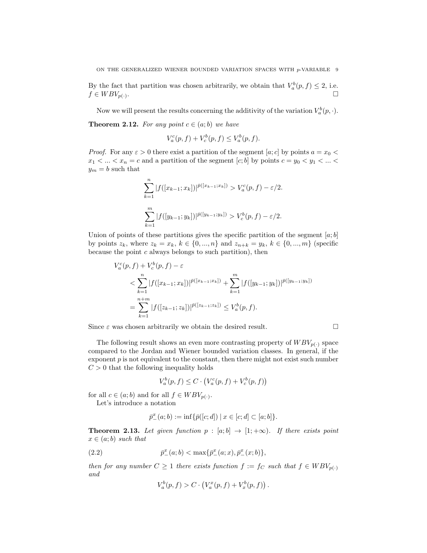By the fact that partition was chosen arbitrarily, we obtain that  $V_a^b(p, f) \leq 2$ , i.e.  $f \in WBV_{p(\cdot)}$ . . В последните при подата на селото на селото на селото на селото на селото на селото на селото на селото на с<br>Селото на селото на селото на селото на селото на селото на селото на селото на селото на селото на селото на

Now we will present the results concerning the additivity of the variation  $V_a^b(p, \cdot)$ .

<span id="page-8-1"></span>**Theorem 2.12.** For any point  $c \in (a, b)$  we have

$$
V_a^c(p, f) + V_c^b(p, f) \le V_a^b(p, f).
$$

*Proof.* For any  $\varepsilon > 0$  there exist a partition of the segment [a; c] by points  $a = x_0 <$  $x_1 < \ldots < x_n = c$  and a partition of the segment  $[c; b]$  by points  $c = y_0 < y_1 < \ldots <$  $y_m = b$  such that

$$
\sum_{k=1}^{n} |f([x_{k-1};x_k])|^{p([x_{k-1};x_k])} > V_a^c(p,f) - \varepsilon/2.
$$
  

$$
\sum_{k=1}^{m} |f([y_{k-1};y_k])|^{p([y_{k-1};y_k])} > V_c^b(p,f) - \varepsilon/2.
$$

Union of points of these partitions gives the specific partition of the segment  $[a; b]$ by points  $z_k$ , where  $z_k = x_k$ ,  $k \in \{0, ..., n\}$  and  $z_{n+k} = y_k$ ,  $k \in \{0, ..., m\}$  (specific because the point  $c$  always belongs to such partition), then

$$
V_a^c(p, f) + V_c^b(p, f) - \varepsilon
$$
  

$$
< \sum_{k=1}^n |f([x_{k-1}; x_k])|^{\bar{p}([x_{k-1}; x_k])} + \sum_{k=1}^m |f([y_{k-1}; y_k])|^{\bar{p}([y_{k-1}; y_k])}
$$
  

$$
= \sum_{k=1}^{n+m} |f([z_{k-1}; z_k])|^{\bar{p}([z_{k-1}; z_k])} \leq V_a^b(p, f).
$$

Since  $\varepsilon$  was chosen arbitrarily we obtain the desired result.

The following result shows an even more contrasting property of  $WBV_{p(\cdot)}$  space compared to the Jordan and Wiener bounded variation classes. In general, if the exponent  $p$  is not equivalent to the constant, then there might not exist such number  $C > 0$  that the following inequality holds

$$
V_a^b(p, f) \le C \cdot \left( V_a^c(p, f) + V_c^b(p, f) \right)
$$

for all  $c \in (a, b)$  and for all  $f \in WBV_{p(\cdot)}$ .

Let's introduce a notation

$$
\bar{p}^x_-(a;b) := \inf \{ \bar{p}([c;d]) \mid x \in [c;d] \subset [a;b] \}.
$$

**Theorem 2.13.** Let given function  $p : [a; b] \rightarrow [1; +\infty)$ . If there exists point  $x \in (a;b)$  such that

(2.2) 
$$
\bar{p}^x_-(a;b) < \max{\{\bar{p}^x_-(a;x),\bar{p}^x_-(x;b)\}},
$$

then for any number  $C \geq 1$  there exists function  $f := f_C$  such that  $f \in WBV_{p(\cdot)}$ and  $\overline{1}$ 

<span id="page-8-0"></span>
$$
V_a^b(p, f) > C \cdot (V_a^x(p, f) + V_x^b(p, f)).
$$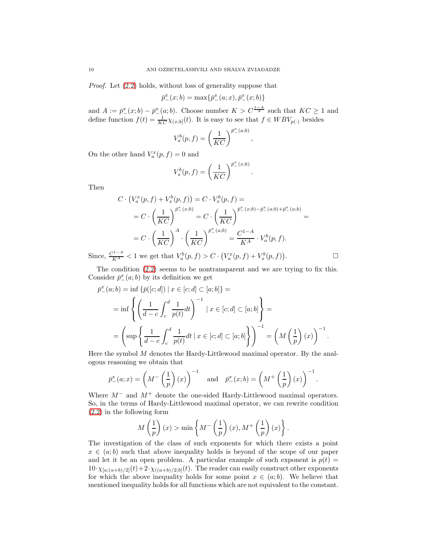Proof. Let [\(2.2\)](#page-8-0) holds, without loss of generality suppose that

$$
\bar{p}^x_-(x;b) = \max\{\bar{p}^x_-(a;x), \bar{p}^x_-(x;b)\}\
$$

and  $A := \bar{p}^x_-(x;b) - \bar{p}^x_-(a;b)$ . Choose number  $K > C^{\frac{1-A}{A}}$  such that  $KC \geq 1$  and define function  $f(t) = \frac{1}{KC} \chi_{(x;b]}(t)$ . It is easy to see that  $f \in WBV_{p(.)}$  besides

$$
V_a^b(p,f) = \left(\frac{1}{KC}\right)^{\bar{p}_-(a;b)},
$$

On the other hand  $V_a^x(p, f) = 0$  and

$$
V_x^b(p, f) = \left(\frac{1}{KC}\right)^{\bar{p}_-(x;b)}.
$$

Then

$$
C \cdot \left(V_a^x(p, f) + V_x^b(p, f)\right) = C \cdot V_x^b(p, f) =
$$
  
\n
$$
= C \cdot \left(\frac{1}{KC}\right)^{\bar{p}^x_-(x;b)} = C \cdot \left(\frac{1}{KC}\right)^{\bar{p}^x_-(x;b) - \bar{p}^x_-(a;b) + \bar{p}^x_-(a;b)} =
$$
  
\n
$$
= C \cdot \left(\frac{1}{KC}\right)^A \cdot \left(\frac{1}{KC}\right)^{\bar{p}^x_-(a;b)} = \frac{C^{1-A}}{KA} \cdot V_a^b(p, f).
$$
  
\nSince,  $\frac{C^{1-A}}{KA} < 1$  we get that  $V_a^b(p, f) > C \cdot \left(V_a^x(p, f) + V_x^b(p, f)\right).$ 

The condition [\(2.2\)](#page-8-0) seems to be nontransparent and we are trying to fix this.

Consider 
$$
\bar{p}^x_-(a;b)
$$
 by its definition we get  
\n
$$
\bar{p}^x_-(a;b) = \inf \{ \bar{p}([c;d]) \mid x \in [c;d] \subset [a;b] \} =
$$
\n
$$
= \inf \left\{ \left( \frac{1}{d-c} \int_c^d \frac{1}{p(t)} dt \right)^{-1} \mid x \in [c;d] \subset [a;b] \right\} =
$$

$$
= \left(\sup \left\{\frac{1}{d-c}\int_c^d \frac{1}{p(t)}dt \mid x \in [c;d] \subset [a;b] \right\}\right)^{-1} = \left(M\left(\frac{1}{p}\right)(x)\right)^{-1}.
$$

Here the symbol  $M$  denotes the Hardy-Littlewood maximal operator. By the analogous reasoning we obtain that

$$
\bar{p}^x_-(a;x) = \left(M^-\left(\frac{1}{p}\right)(x)\right)^{-1} \quad \text{and} \quad \bar{p}^x_-(x;b) = \left(M^+\left(\frac{1}{p}\right)(x)\right)^{-1}.
$$

Where  $M^-$  and  $M^+$  denote the one-sided Hardy-Littlewood maximal operators. So, in the terms of Hardy-Littlewood maximal operator, we can rewrite condition [\(2.2\)](#page-8-0) in the following form

$$
M\left(\frac{1}{p}\right)(x) > \min\left\{M^{-}\left(\frac{1}{p}\right)(x), M^{+}\left(\frac{1}{p}\right)(x)\right\}.
$$

The investigation of the class of such exponents for which there exists a point  $x \in (a, b)$  such that above inequality holds is beyond of the scope of our paper and let it be an open problem. A particular example of such exponent is  $p(t) =$  $10 \cdot \chi_{[a;(a+b)/2]}(t) + 2 \cdot \chi_{((a+b)/2;b]}(t)$ . The reader can easily construct other exponents for which the above inequality holds for some point  $x \in (a, b)$ . We believe that mentioned inequality holds for all functions which are not equivalent to the constant.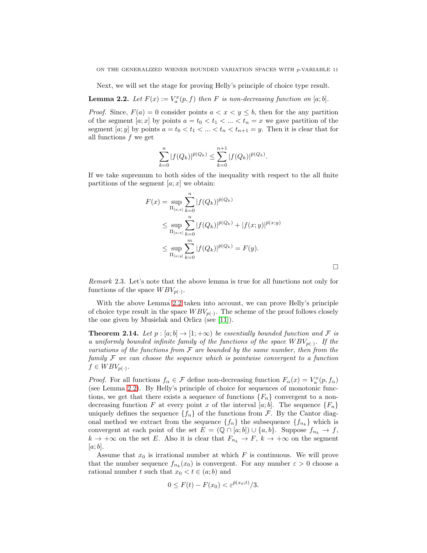Next, we will set the stage for proving Helly's principle of choice type result.

<span id="page-10-0"></span>**Lemma 2.2.** Let  $F(x) := V_a^x(p, f)$  then F is non-decreasing function on [a; b].

*Proof.* Since,  $F(a) = 0$  consider points  $a < x < y \le b$ , then for the any partition of the segment  $[a; x]$  by points  $a = t_0 < t_1 < \ldots < t_n = x$  we gave partition of the segment [a; y] by points  $a = t_0 < t_1 < \ldots < t_n < t_{n+1} = y$ . Then it is clear that for all functions  $f$  we get

$$
\sum_{k=0}^{n} |f(Q_k)|^{\bar{p}(Q_k)} \leq \sum_{k=0}^{n+1} |f(Q_k)|^{\bar{p}(Q_k)}.
$$

If we take supremum to both sides of the inequality with respect to the all finite partitions of the segment  $[a; x]$  we obtain:

$$
F(x) = \sup_{\Pi_{[a;x]}} \sum_{k=0}^{n} |f(Q_k)|^{\bar{p}(Q_k)}
$$
  
\n
$$
\leq \sup_{\Pi_{[a;x]}} \sum_{k=0}^{n} |f(Q_k)|^{\bar{p}(Q_k)} + |f(x;y)|^{\bar{p}(x;y)}
$$
  
\n
$$
\leq \sup_{\Pi_{[a;y]}} \sum_{k=0}^{m} |f(Q_k)|^{\bar{p}(Q_k)} = F(y).
$$

 $\Box$ 

Remark 2.3. Let's note that the above lemma is true for all functions not only for functions of the space  $WBV_{p(.)}$ .

With the above Lemma [2.2](#page-10-0) taken into account, we can prove Helly's principle of choice type result in the space  $WBV_{p(\cdot)}$ . The scheme of the proof follows closely the one given by Musielak and Orlicz (see [\[11\]](#page-12-4)).

**Theorem 2.14.** Let  $p : [a; b] \rightarrow [1; +\infty)$  be essentially bounded function and F is a uniformly bounded infinite family of the functions of the space  $WBV_{p(\cdot)}$ . If the variations of the functions from  $\mathcal F$  are bounded by the same number, then from the family  $\mathcal F$  we can choose the sequence which is pointwise convergent to a function  $f \in WBV_{p(\cdot)}$ .

*Proof.* For all functions  $f_{\alpha} \in \mathcal{F}$  define non-decreasing function  $F_{\alpha}(x) = V_a^x(p, f_{\alpha})$ (see Lemma [2.2\)](#page-10-0). By Helly's principle of choice for sequences of monotonic functions, we get that there exists a sequence of functions  ${F_n}$  convergent to a nondecreasing function F at every point x of the interval [a; b]. The sequence  $\{F_n\}$ uniquely defines the sequence  $\{f_n\}$  of the functions from  $\mathcal{F}$ . By the Cantor diagonal method we extract from the sequence  $\{f_n\}$  the subsequence  $\{f_{n_k}\}$  which is convergent at each point of the set  $E = (\mathbb{Q} \cap [a, b]) \cup \{a, b\}$ . Suppose  $f_{n_k} \to f$ ,  $k \to +\infty$  on the set E. Also it is clear that  $F_{n_k} \to F$ ,  $k \to +\infty$  on the segment  $[a; b]$ .

Assume that  $x_0$  is irrational number at which  $F$  is continuous. We will prove that the number sequence  $f_{n_k}(x_0)$  is convergent. For any number  $\varepsilon > 0$  choose a rational number t such that  $x_0 < t \in (a, b)$  and

$$
0 \le F(t) - F(x_0) < \varepsilon^{\bar{p}(x_0;t)} / 3.
$$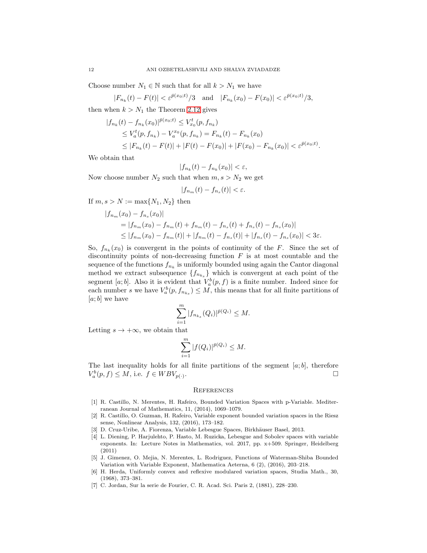Choose number  $N_1 \in \mathbb{N}$  such that for all  $k > N_1$  we have

$$
|F_{n_k}(t) - F(t)| < \varepsilon^{\bar{p}(x_0;t)}/3
$$
 and  $|F_{n_k}(x_0) - F(x_0)| < \varepsilon^{\bar{p}(x_0;t)}/3$ ,

then when  $k > N_1$  the Theorem [2.12](#page-8-1) gives

$$
|f_{n_k}(t) - f_{n_k}(x_0)|^{\bar{p}(x_0;t)} \le V_{x_0}^t(p, f_{n_k})
$$
  
\n
$$
\le V_a^t(p, f_{n_k}) - V_a^{x_0}(p, f_{n_k}) = F_{n_k}(t) - F_{n_k}(x_0)
$$
  
\n
$$
\le |F_{n_k}(t) - F(t)| + |F(t) - F(x_0)| + |F(x_0) - F_{n_k}(x_0)| < \varepsilon^{\bar{p}(x_0;t)}.
$$

We obtain that

$$
|f_{n_k}(t) - f_{n_k}(x_0)| < \varepsilon,
$$

Now choose number  $N_2$  such that when  $m, s > N_2$  we get

$$
|f_{n_m}(t) - f_{n_s}(t)| < \varepsilon.
$$

If  $m, s > N := \max\{N_1, N_2\}$  then

$$
|f_{n_m}(x_0) - f_{n_s}(x_0)|
$$
  
=  $|f_{n_m}(x_0) - f_{n_m}(t) + f_{n_m}(t) - f_{n_s}(t) + f_{n_s}(t) - f_{n_s}(x_0)|$   
 $\leq |f_{n_m}(x_0) - f_{n_m}(t)| + |f_{n_m}(t) - f_{n_s}(t)| + |f_{n_s}(t) - f_{n_s}(x_0)| < 3\varepsilon.$ 

So,  $f_{n_k}(x_0)$  is convergent in the points of continuity of the F. Since the set of discontinuity points of non-decreasing function  $F$  is at most countable and the sequence of the functions  $f_{n_k}$  is uniformly bounded using again the Cantor diagonal method we extract subsequence  ${f_{n_{k_s}}}\$  which is convergent at each point of the segment [a; b]. Also it is evident that  $V_a^b(p, f)$  is a finite number. Indeed since for each number s we have  $V_a^b(p, f_{n_{k_s}}) \leq M$ , this means that for all finite partitions of  $[a; b]$  we have

$$
\sum_{i=1}^{m} |f_{n_{k_s}}(Q_i)|^{\bar{p}(Q_i)} \leq M.
$$

Letting  $s \to +\infty$ , we obtain that

$$
\sum_{i=1}^{m} |f(Q_i)|^{\bar{p}(Q_i)} \leq M.
$$

The last inequality holds for all finite partitions of the segment  $[a; b]$ , therefore  $V_a^b(p, f) \leq M$ , i.e.  $f \in WBV_{p(\cdot)}$ .

## **REFERENCES**

- <span id="page-11-4"></span>[1] R. Castillo, N. Merentes, H. Rafeiro, Bounded Variation Spaces with p-Variable. Mediterranean Journal of Mathematics, 11, (2014), 1069–1079.
- <span id="page-11-6"></span>[2] R. Castillo, O. Guzman, H. Rafeiro, Variable exponent bounded variation spaces in the Riesz sense, Nonlinear Analysis, 132, (2016), 173–182.
- <span id="page-11-2"></span><span id="page-11-1"></span>[3] D. Cruz-Uribe, A. Fiorenza, Variable Lebesgue Spaces, Birkhäuser Basel, 2013.
- [4] L. Diening, P. Harjulehto, P. Hasto, M. Ruzicka, Lebesgue and Sobolev spaces with variable exponents. In: Lecture Notes in Mathematics, vol. 2017, pp. x+509. Springer, Heidelberg (2011)
- <span id="page-11-5"></span>[5] J. Gimenez, O. Mejia, N. Merentes, L. Rodriguez, Functions of Waterman-Shiba Bounded Variation with Variable Exponent, Mathematica Aeterna, 6 (2), (2016), 203–218.
- <span id="page-11-3"></span>[6] H. Herda, Uniformly convex and reflexive modulared variation spaces, Studia Math., 30, (1968), 373–381.
- <span id="page-11-0"></span>[7] C. Jordan, Sur la serie de Fourier, C. R. Acad. Sci. Paris 2, (1881), 228–230.